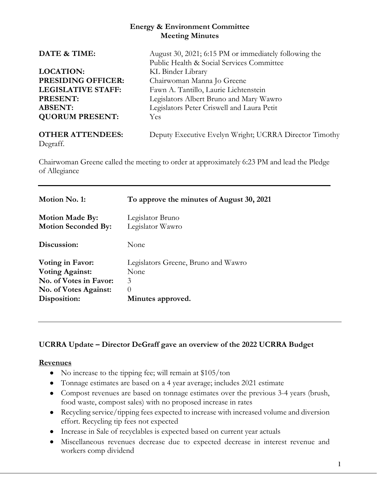## **Energy & Environment Committee Meeting Minutes**

| DATE & TIME:                        | August 30, 2021; 6:15 PM or immediately following the  |  |  |
|-------------------------------------|--------------------------------------------------------|--|--|
|                                     | Public Health & Social Services Committee              |  |  |
| <b>LOCATION:</b>                    | KL Binder Library                                      |  |  |
| PRESIDING OFFICER:                  | Chairwoman Manna Jo Greene                             |  |  |
| <b>LEGISLATIVE STAFF:</b>           | Fawn A. Tantillo, Laurie Lichtenstein                  |  |  |
| <b>PRESENT:</b>                     | Legislators Albert Bruno and Mary Wawro                |  |  |
| <b>ABSENT:</b>                      | Legislators Peter Criswell and Laura Petit             |  |  |
| <b>QUORUM PRESENT:</b>              | <b>Yes</b>                                             |  |  |
| <b>OTHER ATTENDEES:</b><br>Degraff. | Deputy Executive Evelyn Wright; UCRRA Director Timothy |  |  |

Chairwoman Greene called the meeting to order at approximately 6:23 PM and lead the Pledge of Allegiance

| Motion No. 1:              | To approve the minutes of August 30, 2021 |
|----------------------------|-------------------------------------------|
| <b>Motion Made By:</b>     | Legislator Bruno                          |
| <b>Motion Seconded By:</b> | Legislator Wawro                          |
| Discussion:                | None                                      |
| Voting in Favor:           | Legislators Greene, Bruno and Wawro       |
| <b>Voting Against:</b>     | None                                      |
| No. of Votes in Favor:     | 3                                         |
| No. of Votes Against:      | $\left( \right)$                          |
| Disposition:               | Minutes approved.                         |

# **UCRRA Update – Director DeGraff gave an overview of the 2022 UCRRA Budget**

### **Revenues**

- No increase to the tipping fee; will remain at \$105/ton
- Tonnage estimates are based on a 4 year average; includes 2021 estimate
- Compost revenues are based on tonnage estimates over the previous 3-4 years (brush, food waste, compost sales) with no proposed increase in rates
- Recycling service/tipping fees expected to increase with increased volume and diversion effort. Recycling tip fees not expected
- Increase in Sale of recyclables is expected based on current year actuals
- Miscellaneous revenues decrease due to expected decrease in interest revenue and workers comp dividend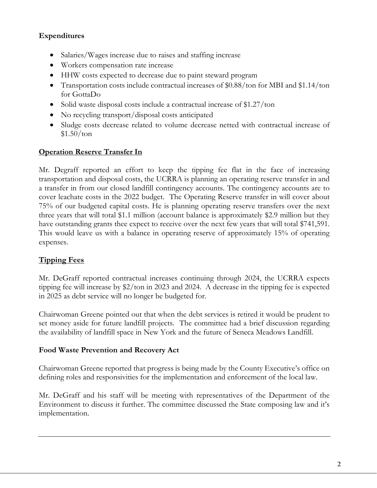# **Expenditures**

- Salaries/Wages increase due to raises and staffing increase
- Workers compensation rate increase
- HHW costs expected to decrease due to paint steward program
- Transportation costs include contractual increases of \$0.88/ton for MBI and \$1.14/ton for GottaDo
- Solid waste disposal costs include a contractual increase of \$1.27/ton
- No recycling transport/disposal costs anticipated
- Sludge costs decrease related to volume decrease netted with contractual increase of  $$1.50/ton$

# **Operation Reserve Transfer In**

Mr. Degraff reported an effort to keep the tipping fee flat in the face of increasing transportation and disposal costs, the UCRRA is planning an operating reserve transfer in and a transfer in from our closed landfill contingency accounts. The contingency accounts are to cover leachate costs in the 2022 budget. The Operating Reserve transfer in will cover about 75% of our budgeted capital costs. He is planning operating reserve transfers over the next three years that will total \$1.1 million (account balance is approximately \$2.9 million but they have outstanding grants thee expect to receive over the next few years that will total \$741,591. This would leave us with a balance in operating reserve of approximately 15% of operating expenses.

## **Tipping Fees**

Mr. DeGraff reported contractual increases continuing through 2024, the UCRRA expects tipping fee will increase by \$2/ton in 2023 and 2024. A decrease in the tipping fee is expected in 2025 as debt service will no longer be budgeted for.

Chairwoman Greene pointed out that when the debt services is retired it would be prudent to set money aside for future landfill projects. The committee had a brief discussion regarding the availability of landfill space in New York and the future of Seneca Meadows Landfill.

### **Food Waste Prevention and Recovery Act**

Chairwoman Greene reported that progress is being made by the County Executive's office on defining roles and responsivities for the implementation and enforcement of the local law.

Mr. DeGraff and his staff will be meeting with representatives of the Department of the Environment to discuss it further. The committee discussed the State composing law and it's implementation.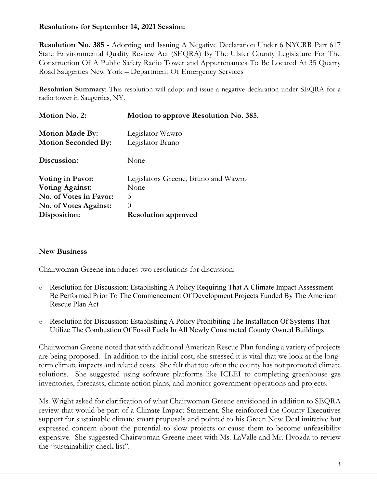## **Resolutions for September 14, 2021 Session:**

**Resolution No. 385 -** Adopting and Issuing A Negative Declaration Under 6 NYCRR Part 617 State Environmental Quality Review Act (SEQRA) By The Ulster County Legislature For The Construction Of A Public Safety Radio Tower and Appurtenances To Be Located At 35 Quarry Road Saugerties New York – Department Of Emergency Services

**Resolution Summary**: This resolution will adopt and issue a negative declaration under SEQRA for a radio tower in Saugerties, NY.

| Motion No. 2:                                        | Motion to approve Resolution No. 385. |  |
|------------------------------------------------------|---------------------------------------|--|
| <b>Motion Made By:</b><br><b>Motion Seconded By:</b> | Legislator Wawro<br>Legislator Bruno  |  |
| Discussion:                                          | None                                  |  |
| Voting in Favor:                                     | Legislators Greene, Bruno and Wawro   |  |
| <b>Voting Against:</b>                               | None                                  |  |
| No. of Votes in Favor:                               | 3                                     |  |
| <b>No. of Votes Against:</b>                         | $\left( \right)$                      |  |
| Disposition:                                         | <b>Resolution approved</b>            |  |
|                                                      |                                       |  |

### **New Business**

Chairwoman Greene introduces two resolutions for discussion:

- o Resolution for Discussion: Establishing A Policy Requiring That A Climate Impact Assessment Be Performed Prior To The Commencement Of Development Projects Funded By The American Rescue Plan Act
- o Resolution for Discussion: Establishing A Policy Prohibiting The Installation Of Systems That Utilize The Combustion Of Fossil Fuels In All Newly Constructed County Owned Buildings

Chairwoman Greene noted that with additional American Rescue Plan funding a variety of projects are being proposed. In addition to the initial cost, she stressed it is vital that we look at the longterm climate impacts and related costs. She felt that too often the county has not promoted climate solutions. She suggested using software platforms like ICLEI to completing greenhouse gas inventories, forecasts, climate action plans, and monitor government-operations and projects.

Ms. Wright asked for clarification of what Chairwoman Greene envisioned in addition to SEQRA review that would be part of a Climate Impact Statement. She reinforced the County Executives support for sustainable climate smart proposals and pointed to his Green New Deal imitative but expressed concern about the potential to slow projects or cause them to become unfeasibility expensive. She suggested Chairwoman Greene meet with Ms. LaValle and Mr. Hvozda to review the "sustainability check list".